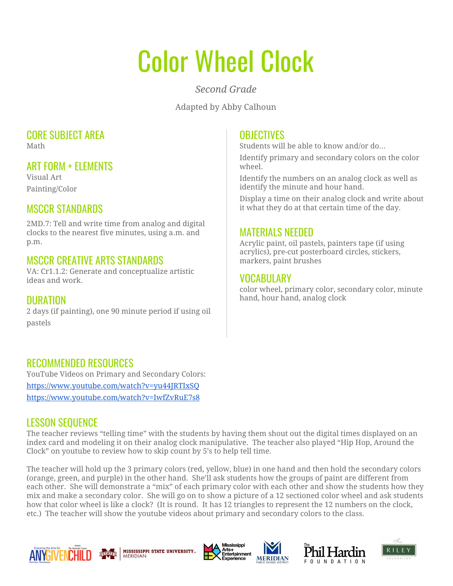# Color Wheel Clock

*Second Grade*

Adapted by Abby Calhoun

#### CORE SUBJECT AREA Math

## ART FORM + ELEMENTS

Visual Art Painting/Color

### MSCCR STANDARDS

2MD.7: Tell and write time from analog and digital clocks to the nearest five minutes, using a.m. and p.m.

#### MSCCR CREATIVE ARTS STANDARDS

VA: Cr1.1.2: Generate and conceptualize artistic ideas and work.

#### DURATION

2 days (if painting), one 90 minute period if using oil pastels

#### **OBJECTIVES**

Students will be able to know and/or do…

Identify primary and secondary colors on the color wheel.

Identify the numbers on an analog clock as well as identify the minute and hour hand.

Display a time on their analog clock and write about it what they do at that certain time of the day.

#### MATERIALS NEEDED

Acrylic paint, oil pastels, painters tape (if using acrylics), pre-cut posterboard circles, stickers, markers, paint brushes

#### VOCABULARY

color wheel, primary color, secondary color, minute hand, hour hand, analog clock

#### RECOMMENDED RESOURCES

YouTube Videos on Primary and Secondary Colors: <https://www.youtube.com/watch?v=yu44JRTIxSQ> <https://www.youtube.com/watch?v=IwfZvRuE7s8>

#### LESSON SEQUENCE

The teacher reviews "telling time" with the students by having them shout out the digital times displayed on an index card and modeling it on their analog clock manipulative. The teacher also played "Hip Hop, Around the Clock" on youtube to review how to skip count by 5's to help tell time.

The teacher will hold up the 3 primary colors (red, yellow, blue) in one hand and then hold the secondary colors (orange, green, and purple) in the other hand. She'll ask students how the groups of paint are different from each other. She will demonstrate a "mix" of each primary color with each other and show the students how they mix and make a secondary color. She will go on to show a picture of a 12 sectioned color wheel and ask students how that color wheel is like a clock? (It is round. It has 12 triangles to represent the 12 numbers on the clock, etc.) The teacher will show the youtube videos about primary and secondary colors to the class.